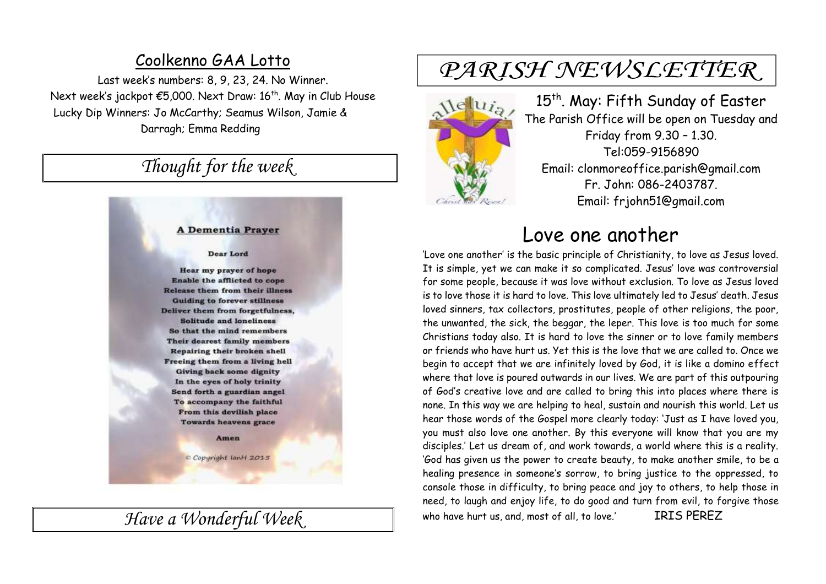### Coolkenno GAA Lotto

Last week's numbers: 8, 9, 23, 24. No Winner. Next week's jackpot €5,000. Next Draw: 16<sup>th</sup>. May in Club House Lucky Dip Winners: Jo McCarthy; Seamus Wilson, Jamie & Darragh; Emma Redding

## *Thought for the week*

#### **A Dementia Prayer**

#### **Dear Lord**

**Hear my prayer of hope** Enable the afflicted to cope **Release them from their illness Guiding to forever stillness** Deliver them from forgetfulness, **Solitude and loneliness** So that the mind remembers Their dearest family members Repairing their broken shell Freeing them from a living hell **Giving back some dignity** In the eyes of holy trinity Send forth a guardian angel To accompany the faithful From this devilish place **Towards heavens grace** 

#### Amen

C Copyright lanH 2015

*Have a Wonderful Week* 

# PARISH NEWSLETTER



15<sup>th</sup>. May: Fifth Sunday of Easter The Parish Office will be open on Tuesday and Friday from 9.30 – 1.30. Tel:059-9156890 Email: clonmoreoffice.parish@gmail.com Fr. John: 086-2403787. Email: frjohn51@gmail.com

## Love one another

'Love one another' is the basic principle of Christianity, to love as Jesus loved. It is simple, yet we can make it so complicated. Jesus' love was controversial for some people, because it was love without exclusion. To love as Jesus loved is to love those it is hard to love. This love ultimately led to Jesus' death. Jesus loved sinners, tax collectors, prostitutes, people of other religions, the poor, the unwanted, the sick, the beggar, the leper. This love is too much for some Christians today also. It is hard to love the sinner or to love family members or friends who have hurt us. Yet this is the love that we are called to. Once we begin to accept that we are infinitely loved by God, it is like a domino effect where that love is poured outwards in our lives. We are part of this outpouring of God's creative love and are called to bring this into places where there is none. In this way we are helping to heal, sustain and nourish this world. Let us hear those words of the Gospel more clearly today: 'Just as I have loved you, you must also love one another. By this everyone will know that you are my disciples.' Let us dream of, and work towards, a world where this is a reality. 'God has given us the power to create beauty, to make another smile, to be a healing presence in someone's sorrow, to bring justice to the oppressed, to console those in difficulty, to bring peace and joy to others, to help those in need, to laugh and enjoy life, to do good and turn from evil, to forgive those who have hurt us, and, most of all, to love.' IRIS PEREZ